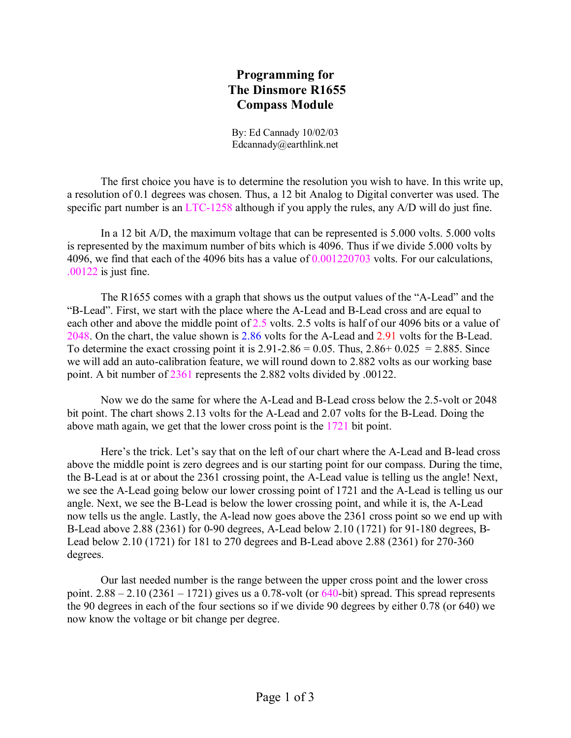## **Programming for The Dinsmore R1655 Compass Module**

By: Ed Cannady 10/02/03 Edcannady@earthlink.net

The first choice you have is to determine the resolution you wish to have. In this write up, a resolution of 0.1 degrees was chosen. Thus, a 12 bit Analog to Digital converter was used. The specific part number is an LTC-1258 although if you apply the rules, any A/D will do just fine.

In a 12 bit A/D, the maximum voltage that can be represented is 5.000 volts. 5.000 volts is represented by the maximum number of bits which is 4096. Thus if we divide 5.000 volts by 4096, we find that each of the 4096 bits has a value of 0.001220703 volts. For our calculations, .00122 is just fine.

The R1655 comes with a graph that shows us the output values of the "A-Lead" and the "B-Lead". First, we start with the place where the A-Lead and B-Lead cross and are equal to each other and above the middle point of 2.5 volts. 2.5 volts is half of our 4096 bits or a value of 2048. On the chart, the value shown is 2.86 volts for the A-Lead and 2.91 volts for the B-Lead. To determine the exact crossing point it is  $2.91 - 2.86 = 0.05$ . Thus,  $2.86 + 0.025 = 2.885$ . Since we will add an auto-calibration feature, we will round down to 2.882 volts as our working base point. A bit number of 2361 represents the 2.882 volts divided by .00122.

Now we do the same for where the A-Lead and B-Lead cross below the 2.5-volt or 2048 bit point. The chart shows 2.13 volts for the A-Lead and 2.07 volts for the B-Lead. Doing the above math again, we get that the lower cross point is the 1721 bit point.

Here's the trick. Let's say that on the left of our chart where the A-Lead and B-lead cross above the middle point is zero degrees and is our starting point for our compass. During the time, the B-Lead is at or about the 2361 crossing point, the A-Lead value is telling us the angle! Next, we see the A-Lead going below our lower crossing point of 1721 and the A-Lead is telling us our angle. Next, we see the B-Lead is below the lower crossing point, and while it is, the A-Lead now tells us the angle. Lastly, the A-lead now goes above the 2361 cross point so we end up with B-Lead above 2.88 (2361) for 0-90 degrees, A-Lead below 2.10 (1721) for 91-180 degrees, B-Lead below 2.10 (1721) for 181 to 270 degrees and B-Lead above 2.88 (2361) for 270-360 degrees.

Our last needed number is the range between the upper cross point and the lower cross point.  $2.88 - 2.10$  ( $2361 - 1721$ ) gives us a 0.78-volt (or  $640$ -bit) spread. This spread represents the 90 degrees in each of the four sections so if we divide 90 degrees by either 0.78 (or 640) we now know the voltage or bit change per degree.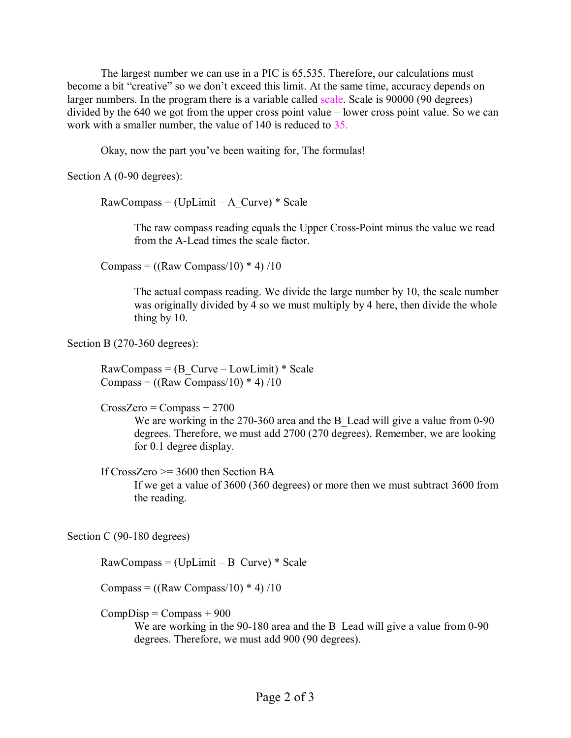The largest number we can use in a PIC is 65,535. Therefore, our calculations must become a bit "creative" so we don't exceed this limit. At the same time, accuracy depends on larger numbers. In the program there is a variable called scale. Scale is 90000 (90 degrees) divided by the 640 we got from the upper cross point value – lower cross point value. So we can work with a smaller number, the value of 140 is reduced to 35.

Okay, now the part you've been waiting for, The formulas!

Section A (0-90 degrees):

 $RawCompass = (UpLimit - A Curve) * Scale$ 

The raw compass reading equals the Upper Cross-Point minus the value we read from the A-Lead times the scale factor.

Compass =  $((\text{Raw Compass}/10) * 4)/10$ 

The actual compass reading. We divide the large number by 10, the scale number was originally divided by 4 so we must multiply by 4 here, then divide the whole thing by 10.

Section B (270-360 degrees):

 $RawCompass = (B-Curve – LowLimit) * Scale$ Compass =  $((\text{Raw Compass}/10) * 4)/10$ 

 $CrossZero = Compass + 2700$ 

We are working in the 270-360 area and the B Lead will give a value from 0-90 degrees. Therefore, we must add 2700 (270 degrees). Remember, we are looking for 0.1 degree display.

If CrossZero  $\ge$  3600 then Section BA

If we get a value of 3600 (360 degrees) or more then we must subtract 3600 from the reading.

Section C (90-180 degrees)

 $RawCompass = (UpLimit - B Curve) * Scale$ 

Compass =  $((\text{Raw Compass}/10) * 4)/10$ 

 $CompDisp = Compass + 900$ 

We are working in the 90-180 area and the B Lead will give a value from 0-90 degrees. Therefore, we must add 900 (90 degrees).